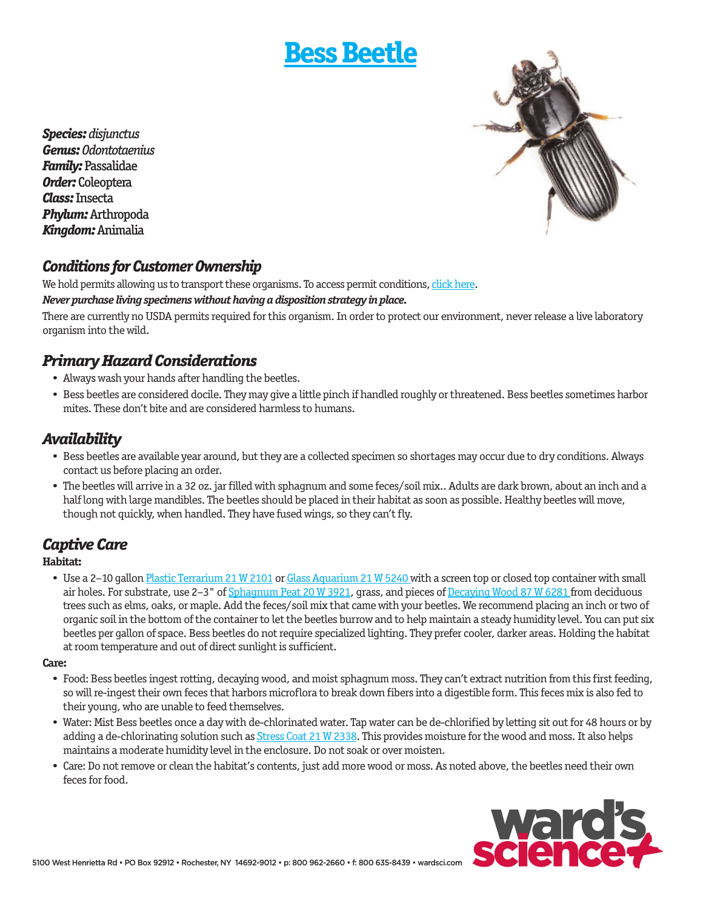# **[Bess Beetle](http://wardsci.com/product.asp?pn=IG0014494&cm_mmc=WA-_-Live-_-Permits-_-BessBeetle)**



*Species: disjunctus Genus: Odontotaenius Family:* Passalidae *Order:* Coleoptera *Class:* Insecta *Phylum:* Arthropoda *Kingdom:* Animalia

### *Conditions for Customer Ownership*

We hold permits allowing us to transport these organisms. To access permit conditions, [click here.](http://wardsci.com/livepermits)

#### *Never purchase living specimens without having a disposition strategy in place.*

There are currently no USDA permits required for this organism. In order to protect our environment, never release a live laboratory organism into the wild.

### *Primary Hazard Considerations*

- Always wash your hands after handling the beetles.
- Bess beetles are considered docile. They may give a little pinch if handled roughly or threatened. Bess beetles sometimes harbor mites. These don't bite and are considered harmless to humans.

### *Availability*

- Bess beetles are available year around, but they are a collected specimen so shortages may occur due to dry conditions. Always contact us before placing an order.
- The beetles will arrive in a 32 oz. jar filled with sphagnum and some feces/soil mix.. Adults are dark brown, about an inch and a half long with large mandibles. The beetles should be placed in their habitat as soon as possible. Healthy beetles will move, though not quickly, when handled. They have fused wings, so they can't fly.

### *Captive Care*

#### **Habitat:**

• Use a 2–10 gallon [Plastic Terrarium 21 W 2101](http://wardsci.com/product.asp?pn=IG0013613&cm_mmc=WA-_-Live-_-Permits-_-PlasticTerrarium) or [Glass Aquarium 21 W 5240](http://wardsci.com/product.asp?pn=IG0009625&cm_mmc=WA-_-Live-_-Permits-_-GlassAquarium) with a screen top or closed top container with small air holes. For substrate, use 2-3" o[f Sphagnum Peat 20 W 3921,](http://wardsci.com/product.asp?pn=IG0013372&cm_mmc=WA-_-Live-_-Permits-_-SphagnumPeat) grass, and pieces of [Decaying Wood 87 W 6281 f](http://wardsci.com/product.asp?pn=IG0014494&cm_mmc=WA-_-Live-_-Permits-_-DecayingWood)rom deciduous trees such as elms, oaks, or maple. Add the feces/soil mix that came with your beetles. We recommend placing an inch or two of organic soil in the bottom of the container to let the beetles burrow and to help maintain a steady humidity level. You can put six beetles per gallon of space. Bess beetles do not require specialized lighting. They prefer cooler, darker areas. Holding the habitat at room temperature and out of direct sunlight is sufficient.

#### **Care:**

- Food: Bess beetles ingest rotting, decaying wood, and moist sphagnum moss. They can't extract nutrition from this first feeding, so will re-ingest their own feces that harbors microflora to break down fibers into a digestible form. This feces mix is also fed to their young, who are unable to feed themselves.
- Water: Mist Bess beetles once a day with de-chlorinated water. Tap water can be de-chlorified by letting sit out for 48 hours or by adding a de-chlorinating solution such a[s Stress Coat 21 W 2338.](http://wardsci.com/product.asp?pn=IG0006009&cm_mmc=WA-_-Live-_-Permits-_-StressCoat) This provides moisture for the wood and moss. It also helps maintains a moderate humidity level in the enclosure. Do not soak or over moisten.
- Care: Do not remove or clean the habitat's contents, just add more wood or moss. As noted above, the beetles need their own feces for food.